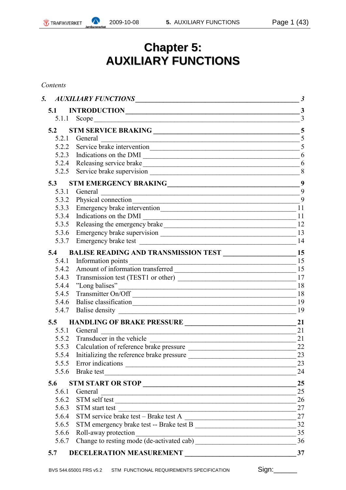☎

# **Chapter 5: AUXILIARY FUNCTIONS**

#### *Contents*

|       | 5. AUXILIARY FUNCTIONS                                                                                                                                     | $\mathfrak{z}$ |
|-------|------------------------------------------------------------------------------------------------------------------------------------------------------------|----------------|
|       | 5.1 INTRODUCTION                                                                                                                                           | $\mathbf{3}$   |
| 5.1.1 |                                                                                                                                                            | 3              |
| 5.2   |                                                                                                                                                            |                |
| 5.2.1 | General<br><u> Alexandria de la contrada de la contrada de la contrada de la contrada de la contrada de la contrada de la c</u>                            | 5              |
| 5.2.2 |                                                                                                                                                            |                |
|       | 5.2.3 Indications on the DMI                                                                                                                               |                |
| 5.2.4 | Releasing service brake                                                                                                                                    | 6              |
| 5.2.5 |                                                                                                                                                            | 8              |
| 5.3   |                                                                                                                                                            | 9              |
| 5.3.1 | General<br><u> 1989 - Johann Barn, mars ann an t-Amhain ann an t-Amhain an t-Amhain an t-Amhain an t-Amhain an t-Amhain an t-</u>                          | 9              |
| 5.3.2 |                                                                                                                                                            | 9              |
| 5.3.3 |                                                                                                                                                            |                |
| 5.3.4 | Indications on the DMI                                                                                                                                     |                |
| 5.3.5 |                                                                                                                                                            |                |
| 5.3.6 |                                                                                                                                                            | 13             |
| 5.3.7 |                                                                                                                                                            | 14             |
| 5.4   |                                                                                                                                                            | 15             |
| 5.4.1 | Information points                                                                                                                                         | 15             |
| 5.4.2 |                                                                                                                                                            |                |
| 5.4.3 |                                                                                                                                                            | 17             |
| 5.4.4 | "Long balises"<br><u> 1989 - Johann Barn, mars ann an t-Amhain an t-Amhain an t-Amhain an t-Amhain an t-Amhain an t-Amhain an t-Amh</u>                    | 18             |
| 5.4.5 | Transmitter On/Off 18                                                                                                                                      |                |
|       | 5.4.6 Balise classification                                                                                                                                | 19             |
|       |                                                                                                                                                            | 19             |
| 5.5   |                                                                                                                                                            | 21             |
|       | 5.5.1 General                                                                                                                                              | 21             |
|       | 5.5.2 Transducer in the vehicle<br><u> 1990 - Johann John Stone, mars eta bainar eta mondo eta erroman erroman erroman erroman erroman erroman erroman</u> | 21             |
| 5.5.3 |                                                                                                                                                            | 22             |
|       | 5.5.4 Initializing the reference brake pressure ________________________________                                                                           | 23             |
|       | 5.5.5 Error indications                                                                                                                                    | 23             |
|       | 5.5.6 Brake test<br><u> 1980 - Andrea Andrew Maria (h. 1980).</u>                                                                                          | 24             |
| 5.6   |                                                                                                                                                            | 25             |
| 5.6.1 | General<br><u> 1989 - Johann Barnett, fransk politiker (d. 1989)</u>                                                                                       | 25             |
|       |                                                                                                                                                            | 26             |
| 5.6.3 | STM start test<br><u> 1989 - Johann John Stein, mars an deutscher Stein und der Stein und der Stein und der Stein und der Stein und</u>                    | 27             |
| 5.6.4 |                                                                                                                                                            | 27             |
| 5.6.5 | STM emergency brake test -- Brake test B                                                                                                                   | 32             |
| 5.6.6 | Roll-away protection<br><u> 1989 - Johann John Stein, marwolaeth a bhannaich an t-Amhair an t-Amhair an t-Amhair an t-Amhair an t-Amhair </u>              | 35             |
| 5.6.7 | Change to resting mode (de-activated cab)                                                                                                                  | 36             |
| 5.7   | <b>DECELERATION MEASUREMENT</b>                                                                                                                            | 37             |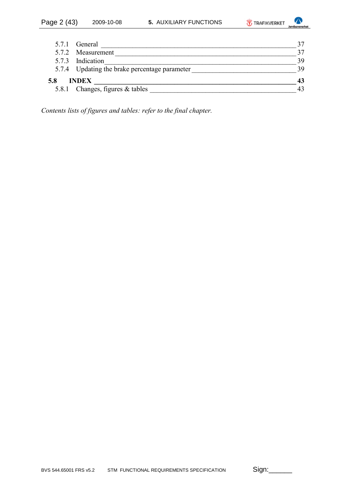Ø

|     | 5.7.1 General                                 | 27 |
|-----|-----------------------------------------------|----|
|     | 5.7.2 Measurement                             | 37 |
|     | 5.7.3 Indication                              | 39 |
|     | 5.7.4 Updating the brake percentage parameter | 39 |
| 5.8 | <b>INDEX</b>                                  | 43 |
|     | 5.8.1 Changes, figures & tables               | 43 |

*Contents lists of figures and tables: refer to the final chapter.*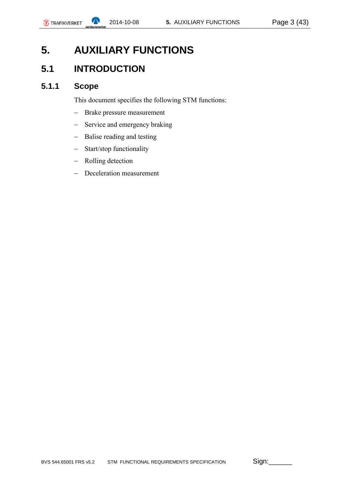# <span id="page-2-0"></span>**5. AUXILIARY FUNCTIONS**

# <span id="page-2-1"></span>**5.1 INTRODUCTION**

W

## <span id="page-2-2"></span>**5.1.1 Scope**

This document specifies the following STM functions:

- Brake pressure measurement
- Service and emergency braking
- Balise reading and testing
- Start/stop functionality
- Rolling detection
- Deceleration measurement

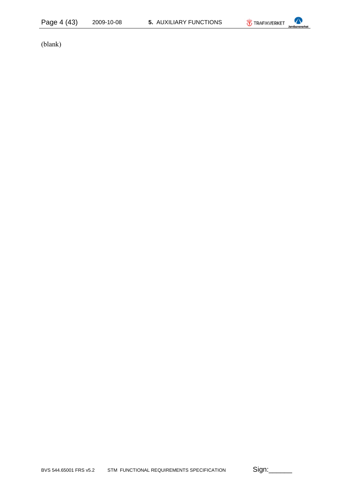$\boldsymbol{\sigma}$ 

(blank)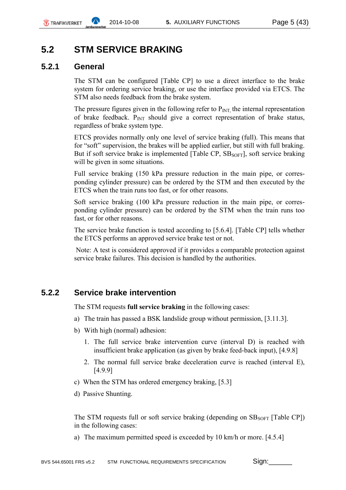# <span id="page-4-0"></span>**5.2 STM SERVICE BRAKING**

#### <span id="page-4-1"></span>**5.2.1 General**

The STM can be configured [Table CP] to use a direct interface to the brake system for ordering service braking, or use the interface provided via ETCS. The STM also needs feedback from the brake system.

The pressure figures given in the following refer to  $P_{\text{INT}}$ , the internal representation of brake feedback.  $P_{INT}$  should give a correct representation of brake status, regardless of brake system type.

ETCS provides normally only one level of service braking (full). This means that for "soft" supervision, the brakes will be applied earlier, but still with full braking. But if soft service brake is implemented [Table CP,  $SB<sub>SOFF</sub>$ ], soft service braking will be given in some situations.

Full service braking (150 kPa pressure reduction in the main pipe, or corresponding cylinder pressure) can be ordered by the STM and then executed by the ETCS when the train runs too fast, or for other reasons.

Soft service braking (100 kPa pressure reduction in the main pipe, or corresponding cylinder pressure) can be ordered by the STM when the train runs too fast, or for other reasons.

The service brake function is tested according to [5.6.4]. [Table CP] tells whether the ETCS performs an approved service brake test or not.

Note: A test is considered approved if it provides a comparable protection against service brake failures. This decision is handled by the authorities.

#### <span id="page-4-2"></span>**5.2.2 Service brake intervention**

The STM requests **full service braking** in the following cases:

- a) The train has passed a BSK landslide group without permission, [3.11.3].
- b) With high (normal) adhesion:
	- 1. The full service brake intervention curve (interval D) is reached with insufficient brake application (as given by brake feed-back input), [4.9.8]
	- 2. The normal full service brake deceleration curve is reached (interval E), [4.9.9]
- c) When the STM has ordered emergency braking, [5.3]
- d) Passive Shunting.

The STM requests full or soft service braking (depending on  $SB<sub>SOFF</sub>$  [Table CP]) in the following cases:

a) The maximum permitted speed is exceeded by 10 km/h or more. [4.5.4]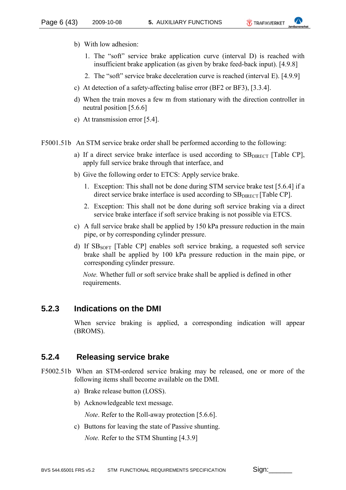∽

- b) With low adhesion:
	- 1. The "soft" service brake application curve (interval D) is reached with insufficient brake application (as given by brake feed-back input). [4.9.8]
	- 2. The "soft" service brake deceleration curve is reached (interval E). [4.9.9]
- c) At detection of a safety-affecting balise error (BF2 or BF3), [3.3.4].
- d) When the train moves a few m from stationary with the direction controller in neutral position [5.6.6]
- e) At transmission error [5.4].
- F5001.51b An STM service brake order shall be performed according to the following:
	- a) If a direct service brake interface is used according to  $SB<sub>DIRECT</sub>$  [Table CP], apply full service brake through that interface, and
	- b) Give the following order to ETCS: Apply service brake.
		- 1. Exception: This shall not be done during STM service brake test [5.6.4] if a direct service brake interface is used according to  $SB<sub>DIRECT</sub>$  [Table CP].
		- 2. Exception: This shall not be done during soft service braking via a direct service brake interface if soft service braking is not possible via ETCS.
	- c) A full service brake shall be applied by 150 kPa pressure reduction in the main pipe, or by corresponding cylinder pressure.
	- d) If  $SB<sub>SOFF</sub>$  [Table CP] enables soft service braking, a requested soft service brake shall be applied by 100 kPa pressure reduction in the main pipe, or corresponding cylinder pressure.

*Note.* Whether full or soft service brake shall be applied is defined in other requirements.

#### <span id="page-5-0"></span>**5.2.3 Indications on the DMI**

<span id="page-5-1"></span>When service braking is applied, a corresponding indication will appear (BROMS).

#### **5.2.4 Releasing service brake**

- F5002.51b When an STM-ordered service braking may be released, one or more of the following items shall become available on the DMI.
	- a) Brake release button (LOSS).
	- b) Acknowledgeable text message.

*Note*. Refer to the Roll-away protection [5.6.6].

c) Buttons for leaving the state of Passive shunting.

*Note.* Refer to the STM Shunting [4.3.9]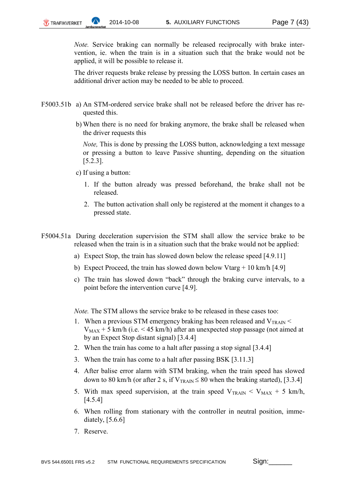*Note.* Service braking can normally be released reciprocally with brake intervention, ie. when the train is in a situation such that the brake would not be applied, it will be possible to release it.

The driver requests brake release by pressing the LOSS button. In certain cases an additional driver action may be needed to be able to proceed.

- F5003.51b a) An STM-ordered service brake shall not be released before the driver has requested this.
	- b) When there is no need for braking anymore, the brake shall be released when the driver requests this

*Note*, This is done by pressing the LOSS button, acknowledging a text message or pressing a button to leave Passive shunting, depending on the situation [5.2.3].

- c) If using a button:
	- 1. If the button already was pressed beforehand, the brake shall not be released.
	- 2. The button activation shall only be registered at the moment it changes to a pressed state.
- F5004.51a During deceleration supervision the STM shall allow the service brake to be released when the train is in a situation such that the brake would not be applied:
	- a) Expect Stop, the train has slowed down below the release speed [4.9.11]
	- b) Expect Proceed, the train has slowed down below Vtarg + 10 km/h [4.9]
	- c) The train has slowed down "back" through the braking curve intervals, to a point before the intervention curve [4.9].

*Note.* The STM allows the service brake to be released in these cases too:

- 1. When a previous STM emergency braking has been released and  $V_{TRAIN}$  <  $V_{MAX}$  + 5 km/h (i.e.  $\leq$  45 km/h) after an unexpected stop passage (not aimed at by an Expect Stop distant signal) [3.4.4]
- 2. When the train has come to a halt after passing a stop signal [3.4.4]
- 3. When the train has come to a halt after passing BSK [3.11.3]
- 4. After balise error alarm with STM braking, when the train speed has slowed down to 80 km/h (or after 2 s, if  $V_{\text{TRAIN}} \leq 80$  when the braking started), [3.3.4]
- 5. With max speed supervision, at the train speed  $V_{\text{TRAN}} < V_{\text{MAX}} + 5$  km/h, [4.5.4]
- 6. When rolling from stationary with the controller in neutral position, immediately, [5.6.6]
- 7. Reserve.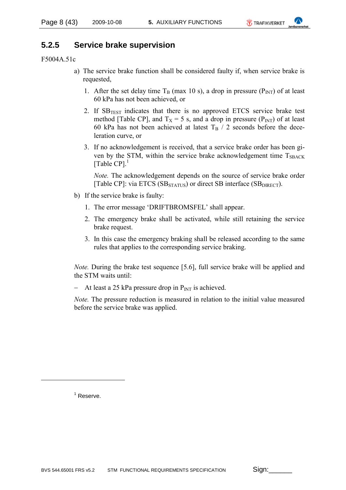#### <span id="page-7-0"></span>**5.2.5 Service brake supervision**

F5004A.51c

- a) The service brake function shall be considered faulty if, when service brake is requested,
	- 1. After the set delay time  $T_B$  (max 10 s), a drop in pressure ( $P_{INT}$ ) of at least 60 kPa has not been achieved, or
	- 2. If  $SB$ <sub>TEST</sub> indicates that there is no approved ETCS service brake test method [Table CP], and  $T_x = 5$  s, and a drop in pressure (P<sub>NT</sub>) of at least 60 kPa has not been achieved at latest  $T_B$  / 2 seconds before the deceleration curve, or
	- 3. If no acknowledgement is received, that a service brake order has been given by the STM, within the service brake acknowledgement time  $T_{\text{SBACK}}$ [Table CP].<sup>1</sup>

*Note.* The acknowledgement depends on the source of service brake order [Table CP]: via ETCS ( $SB<sub>STATUS</sub>$ ) or direct SB interface ( $SB<sub>DIRECT</sub>$ ).

- b) If the service brake is faulty:
	- 1. The error message 'DRIFTBROMSFEL' shall appear.
	- 2. The emergency brake shall be activated, while still retaining the service brake request.
	- 3. In this case the emergency braking shall be released according to the same rules that applies to the corresponding service braking.

*Note.* During the brake test sequence [5.6], full service brake will be applied and the STM waits until:

At least a 25 kPa pressure drop in  $P_{INT}$  is achieved.

*Note.* The pressure reduction is measured in relation to the initial value measured before the service brake was applied.

 $1$  Reserve.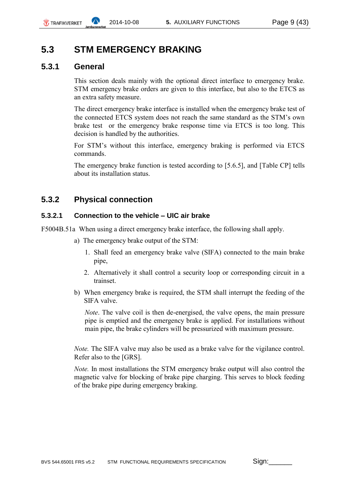# <span id="page-8-0"></span>**5.3 STM EMERGENCY BRAKING**

#### <span id="page-8-1"></span>**5.3.1 General**

This section deals mainly with the optional direct interface to emergency brake. STM emergency brake orders are given to this interface, but also to the ETCS as an extra safety measure.

The direct emergency brake interface is installed when the emergency brake test of the connected ETCS system does not reach the same standard as the STM's own brake test or the emergency brake response time via ETCS is too long. This decision is handled by the authorities.

For STM's without this interface, emergency braking is performed via ETCS commands.

The emergency brake function is tested according to [5.6.5], and [Table CP] tells about its installation status.

#### <span id="page-8-2"></span>**5.3.2 Physical connection**

#### **5.3.2.1 Connection to the vehicle – UIC air brake**

F5004B.51a When using a direct emergency brake interface, the following shall apply.

- a) The emergency brake output of the STM:
	- 1. Shall feed an emergency brake valve (SIFA) connected to the main brake pipe,
	- 2. Alternatively it shall control a security loop or corresponding circuit in a trainset.
- b) When emergency brake is required, the STM shall interrupt the feeding of the SIFA valve.

*Note*. The valve coil is then de-energised, the valve opens, the main pressure pipe is emptied and the emergency brake is applied. For installations without main pipe, the brake cylinders will be pressurized with maximum pressure.

*Note.* The SIFA valve may also be used as a brake valve for the vigilance control. Refer also to the [GRS].

*Note.* In most installations the STM emergency brake output will also control the magnetic valve for blocking of brake pipe charging. This serves to block feeding of the brake pipe during emergency braking.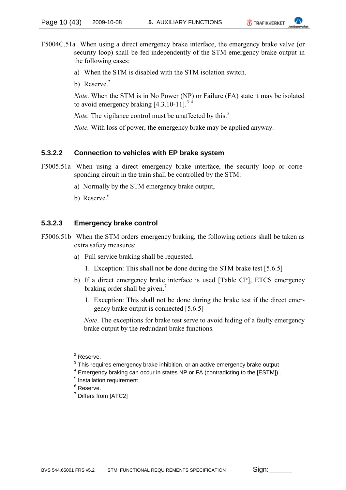- F5004C.51a When using a direct emergency brake interface, the emergency brake valve (or security loop) shall be fed independently of the STM emergency brake output in the following cases:
	- a) When the STM is disabled with the STM isolation switch.
	- b) Reserve.<sup>2</sup>

*Note*. When the STM is in No Power (NP) or Failure (FA) state it may be isolated to avoid emergency braking  $[4.3.10-11]^{3/4}$ 

*Note.* The vigilance control must be unaffected by this.<sup>5</sup>

*Note.* With loss of power, the emergency brake may be applied anyway.

#### **5.3.2.2 Connection to vehicles with EP brake system**

- F5005.51a When using a direct emergency brake interface, the security loop or corresponding circuit in the train shall be controlled by the STM:
	- a) Normally by the STM emergency brake output,
	- b) Reserve.<sup>6</sup>

#### **5.3.2.3 Emergency brake control**

- F5006.51b When the STM orders emergency braking, the following actions shall be taken as extra safety measures:
	- a) Full service braking shall be requested.
		- 1. Exception: This shall not be done during the STM brake test [5.6.5]
	- b) If a direct emergency brake interface is used [Table CP], ETCS emergency braking order shall be given.<sup>7</sup>
		- 1. Exception: This shall not be done during the brake test if the direct emergency brake output is connected [5.6.5]

*Note*. The exceptions for brake test serve to avoid hiding of a faulty emergency brake output by the redundant brake functions.

 $\overline{a}$ 

<sup>5</sup> Installation requirement

<sup>6</sup> Reserve.

<sup>7</sup> Differs from [ATC2]

<sup>&</sup>lt;sup>2</sup> Reserve.

 $^3$  This requires emergency brake inhibition, or an active emergency brake output

 $4$  Emergency braking can occur in states NP or FA (contradicting to the [ESTM])..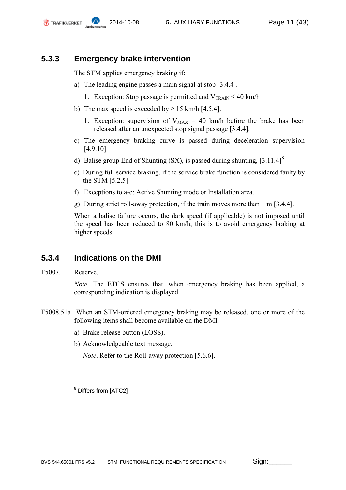BVS 544.65001 FRS v5.2 STM FUNCTIONAL REQUIREMENTS SPECIFICATION SIGN:

等 TRAFIKVERKET

# <span id="page-10-0"></span>**5.3.3 Emergency brake intervention**

The STM applies emergency braking if:

- a) The leading engine passes a main signal at stop [3.4.4].
	- 1. Exception: Stop passage is permitted and  $V_{\text{TRAN}} \leq 40 \text{ km/h}$
- b) The max speed is exceeded by  $\geq 15$  km/h [4.5.4].
	- 1. Exception: supervision of  $V_{MAX} = 40$  km/h before the brake has been released after an unexpected stop signal passage [3.4.4].
- c) The emergency braking curve is passed during deceleration supervision [4.9.10]
- d) Balise group End of Shunting (SX), is passed during shunting,  $[3.11.4]$ <sup>8</sup>
- e) During full service braking, if the service brake function is considered faulty by the STM [5.2.5]
- f) Exceptions to a-c: Active Shunting mode or Installation area.
- g) During strict roll-away protection, if the train moves more than 1 m [3.4.4].

When a balise failure occurs, the dark speed (if applicable) is not imposed until the speed has been reduced to 80 km/h, this is to avoid emergency braking at higher speeds.

### <span id="page-10-1"></span>**5.3.4 Indications on the DMI**

<sup>8</sup> Differs from [ATC2]

F5007. Reserve.

 $\overline{a}$ 

*Note.* The ETCS ensures that, when emergency braking has been applied, a corresponding indication is displayed.

- F5008.51a When an STM-ordered emergency braking may be released, one or more of the following items shall become available on the DMI.
	- a) Brake release button (LOSS).
	- b) Acknowledgeable text message.

*Note*. Refer to the Roll-away protection [5.6.6].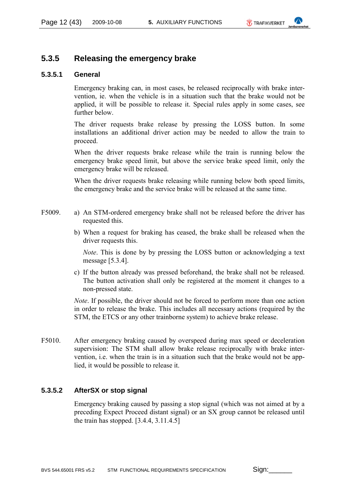

## <span id="page-11-0"></span>**5.3.5 Releasing the emergency brake**

#### **5.3.5.1 General**

Emergency braking can, in most cases, be released reciprocally with brake intervention, ie. when the vehicle is in a situation such that the brake would not be applied, it will be possible to release it. Special rules apply in some cases, see further below.

The driver requests brake release by pressing the LOSS button. In some installations an additional driver action may be needed to allow the train to proceed.

When the driver requests brake release while the train is running below the emergency brake speed limit, but above the service brake speed limit, only the emergency brake will be released.

When the driver requests brake releasing while running below both speed limits, the emergency brake and the service brake will be released at the same time.

- F5009. a) An STM-ordered emergency brake shall not be released before the driver has requested this.
	- b) When a request for braking has ceased, the brake shall be released when the driver requests this.

*Note*. This is done by by pressing the LOSS button or acknowledging a text message [5.3.4].

c) If the button already was pressed beforehand, the brake shall not be released. The button activation shall only be registered at the moment it changes to a non-pressed state.

*Note*. If possible, the driver should not be forced to perform more than one action in order to release the brake. This includes all necessary actions (required by the STM, the ETCS or any other trainborne system) to achieve brake release.

F5010. After emergency braking caused by overspeed during max speed or deceleration supervision: The STM shall allow brake release reciprocally with brake intervention, i.e. when the train is in a situation such that the brake would not be applied, it would be possible to release it.

#### **5.3.5.2 AfterSX or stop signal**

Emergency braking caused by passing a stop signal (which was not aimed at by a preceding Expect Proceed distant signal) or an SX group cannot be released until the train has stopped. [3.4.4, 3.11.4.5]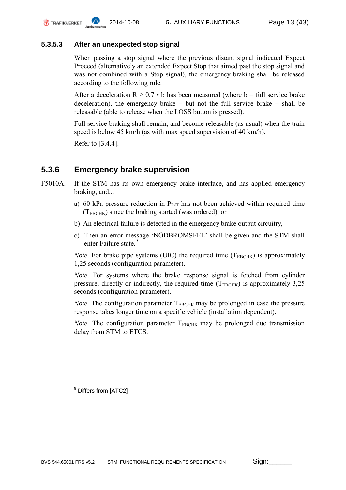#### **5.3.5.3 After an unexpected stop signal**

When passing a stop signal where the previous distant signal indicated Expect Proceed (alternatively an extended Expect Stop that aimed past the stop signal and was not combined with a Stop signal), the emergency braking shall be released according to the following rule.

After a deceleration  $R \geq 0.7 \cdot b$  has been measured (where  $b = full$  service brake deceleration), the emergency brake  $-$  but not the full service brake  $-$  shall be releasable (able to release when the LOSS button is pressed).

Full service braking shall remain, and become releasable (as usual) when the train speed is below 45 km/h (as with max speed supervision of 40 km/h).

Refer to [3.4.4].

#### <span id="page-12-0"></span>**5.3.6 Emergency brake supervision**

- F5010A. If the STM has its own emergency brake interface, and has applied emergency braking, and...
	- a) 60 kPa pressure reduction in  $P_{INT}$  has not been achieved within required time  $(T_{EBCHK})$  since the braking started (was ordered), or
	- b) An electrical failure is detected in the emergency brake output circuitry,
	- c) Then an error message 'NÖDBROMSFEL' shall be given and the STM shall enter Failure state.<sup>9</sup>

*Note*. For brake pipe systems (UIC) the required time  $(T_{EBCHK})$  is approximately 1,25 seconds (configuration parameter).

*Note*. For systems where the brake response signal is fetched from cylinder pressure, directly or indirectly, the required time  $(T_{EBCHK})$  is approximately 3,25 seconds (configuration parameter).

*Note.* The configuration parameter  $T_{EBCHK}$  may be prolonged in case the pressure response takes longer time on a specific vehicle (installation dependent).

*Note.* The configuration parameter  $T_{EBCHK}$  may be prolonged due transmission delay from STM to ETCS.

<sup>9</sup> Differs from [ATC2]

 $\overline{a}$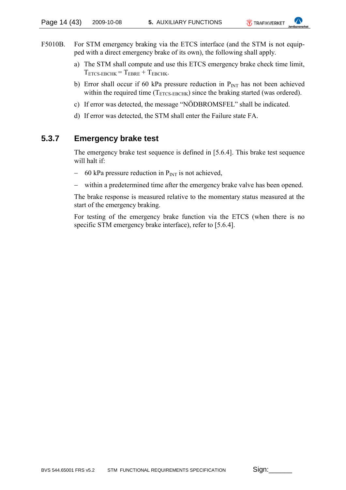∽

- F5010B. For STM emergency braking via the ETCS interface (and the STM is not equipped with a direct emergency brake of its own), the following shall apply.
	- a) The STM shall compute and use this ETCS emergency brake check time limit,  $T_{ETCS-EBCHK} = T_{EBRE} + T_{EBCHK}.$
	- b) Error shall occur if 60 kPa pressure reduction in  $P_{INT}$  has not been achieved within the required time ( $T_{ETCS-EBCHK}$ ) since the braking started (was ordered).
	- c) If error was detected, the message "NÖDBROMSFEL" shall be indicated.
	- d) If error was detected, the STM shall enter the Failure state FA.

#### <span id="page-13-0"></span>**5.3.7 Emergency brake test**

The emergency brake test sequence is defined in [5.6.4]. This brake test sequence will halt if:

- $-$  60 kPa pressure reduction in P<sub>INT</sub> is not achieved,
- within a predetermined time after the emergency brake valve has been opened.

The brake response is measured relative to the momentary status measured at the start of the emergency braking.

For testing of the emergency brake function via the ETCS (when there is no specific STM emergency brake interface), refer to [5.6.4].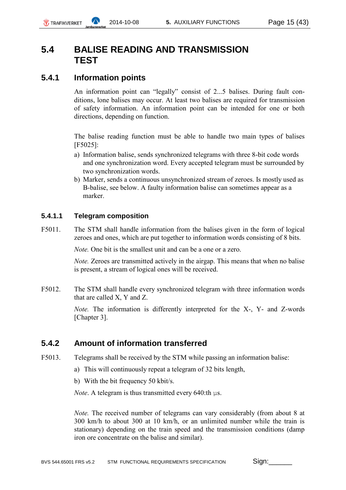# <span id="page-14-0"></span>**5.4 BALISE READING AND TRANSMISSION TEST**

#### <span id="page-14-1"></span>**5.4.1 Information points**

An information point can "legally" consist of 2...5 balises. During fault conditions, lone balises may occur. At least two balises are required for transmission of safety information. An information point can be intended for one or both directions, depending on function.

The balise reading function must be able to handle two main types of balises [F5025]:

- a) Information balise, sends synchronized telegrams with three 8-bit code words and one synchronization word. Every accepted telegram must be surrounded by two synchronization words.
- b) Marker, sends a continuous unsynchronized stream of zeroes. Is mostly used as B-balise, see below. A faulty information balise can sometimes appear as a marker.

#### **5.4.1.1 Telegram composition**

F5011. The STM shall handle information from the balises given in the form of logical zeroes and ones, which are put together to information words consisting of 8 bits.

*Note.* One bit is the smallest unit and can be a one or a zero.

*Note.* Zeroes are transmitted actively in the airgap. This means that when no balise is present, a stream of logical ones will be received.

F5012. The STM shall handle every synchronized telegram with three information words that are called X, Y and Z.

> *Note.* The information is differently interpreted for the X-, Y- and Z-words [Chapter 3].

#### <span id="page-14-2"></span>**5.4.2 Amount of information transferred**

- F5013. Telegrams shall be received by the STM while passing an information balise:
	- a) This will continuously repeat a telegram of 32 bits length,
	- b) With the bit frequency 50 kbit/s.

*Note*. A telegram is thus transmitted every 640:th μs.

*Note.* The received number of telegrams can vary considerably (from about 8 at 300 km/h to about 300 at 10 km/h, or an unlimited number while the train is stationary) depending on the train speed and the transmission conditions (damp iron ore concentrate on the balise and similar).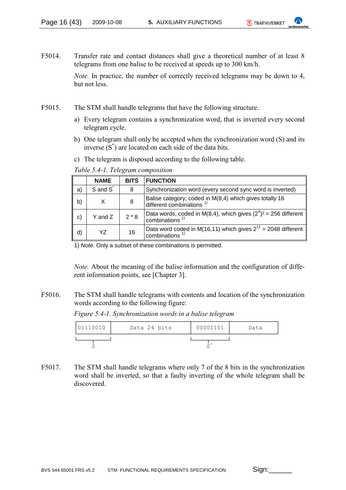**TRAFIKVERKET** 

F5014. Transfer rate and contact distances shall give a theoretical number of at least 8 telegrams from one balise to be received at speeds up to 300 km/h.

> *Note.* In practice, the number of correctly received telegrams may be down to 4, but not less.

- F5015. The STM shall handle telegrams that have the following structure.
	- a) Every telegram contains a synchronization word, that is inverted every second telegram cycle.
	- b) One telegram shall only be accepted when the synchronization word (S) and its inverse  $(S^*)$  are located on each side of the data bits.
	- c) The telegram is disposed according to the following table.

|    | <b>NAME</b>          | <b>BITS</b> | <b>FUNCTION</b>                                                                                  |
|----|----------------------|-------------|--------------------------------------------------------------------------------------------------|
| a) | S and S <sup>*</sup> | 8           | Synchronization word (every second sync word is inverted)                                        |
| b) | X                    | 8           | Balise category, coded in M(8,4) which gives totally 16<br>different combinations <sup>1)</sup>  |
| C) | Y and Z              | $2 * 8$     | Data words, coded in M(8,4), which gives $(2^4)^2$ = 256 different<br>combinations $\frac{1}{1}$ |
| d) | Y7                   | 16          | Data word coded in M(16,11) which gives $2^{11}$ = 2048 different<br>combinations <sup>1)</sup>  |

*Table 5.4-1. Telegram composition*

1) *Note*. Only a subset of these combinations is permitted.

*Note.* About the meaning of the balise information and the configuration of different information points, see [Chapter 3].

F5016. The STM shall handle telegrams with contents and location of the synchronization words according to the following figure:

*Figure 5.4-1. Synchronization words in a balise telegram*

| 101110010 | Data 24 bits | 00001101 | Data |
|-----------|--------------|----------|------|
|           |              |          |      |

F5017. The STM shall handle telegrams where only 7 of the 8 bits in the synchronization word shall be inverted, so that a faulty inverting of the whole telegram shall be discovered.

| .or |  |
|-----|--|
|     |  |
|     |  |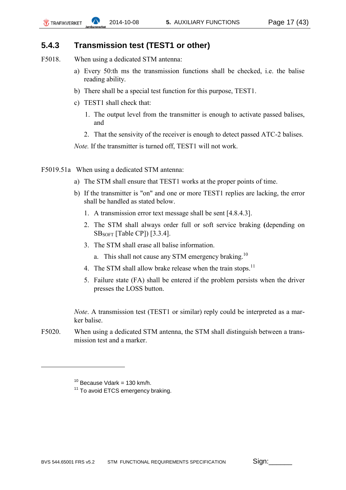*Note.* A transmission test (TEST1 or similar) reply could be interpreted as a marker balise.

F5020. When using a dedicated STM antenna, the STM shall distinguish between a transmission test and a marker.

<span id="page-16-0"></span>**5.4.3 Transmission test (TEST1 or other)**

- b) There shall be a special test function for this purpose, TEST1.
- c) TEST1 shall check that:
	- 1. The output level from the transmitter is enough to activate passed balises, and
	- 2. That the sensivity of the receiver is enough to detect passed ATC-2 balises.

*Note.* If the transmitter is turned off, TEST1 will not work.

F5019.51a When using a dedicated STM antenna:

- a) The STM shall ensure that TEST1 works at the proper points of time.
- b) If the transmitter is "on" and one or more TEST1 replies are lacking, the error shall be handled as stated below.
	- 1. A transmission error text message shall be sent [4.8.4.3].
	- 2. The STM shall always order full or soft service braking **(**depending on  $SB<sub>SOFF</sub>$  [Table CP]) [3.3.4].
	- 3. The STM shall erase all balise information.

a. This shall not cause any STM emergency braking.<sup>10</sup>

- 4. The STM shall allow brake release when the train stops.<sup>11</sup>
- 5. Failure state (FA) shall be entered if the problem persists when the driver presses the LOSS button.

 $10$  Because Vdark = 130 km/h.

 $\overline{a}$ 

<sup>11</sup> To avoid ETCS emergency braking.

F5018. When using a dedicated STM antenna:

a) Every 50:th ms the transmission functions shall be checked, i.e. the balise reading ability.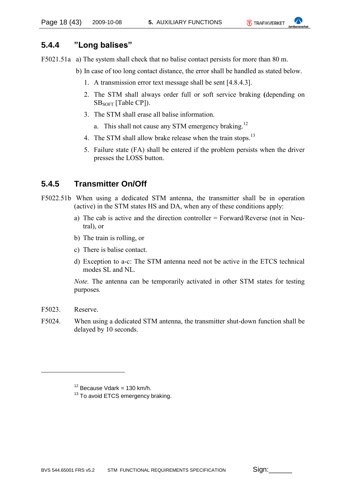╱╲

#### <span id="page-17-0"></span>**5.4.4 "Long balises"**

F5021.51a a) The system shall check that no balise contact persists for more than 80 m.

b) In case of too long contact distance, the error shall be handled as stated below.

- 1. A transmission error text message shall be sent [4.8.4.3].
- 2. The STM shall always order full or soft service braking **(**depending on  $SB<sub>SOFF</sub>$  [Table CP]).
- 3. The STM shall erase all balise information.
	- a. This shall not cause any STM emergency braking.<sup>12</sup>
- 4. The STM shall allow brake release when the train stops.<sup>13</sup>
- 5. Failure state (FA) shall be entered if the problem persists when the driver presses the LOSS button.

#### <span id="page-17-1"></span>**5.4.5 Transmitter On/Off**

- F5022.51b When using a dedicated STM antenna, the transmitter shall be in operation (active) in the STM states HS and DA, when any of these conditions apply:
	- a) The cab is active and the direction controller = Forward/Reverse (not in Neutral), or
	- b) The train is rolling, or
	- c) There is balise contact.
	- d) Exception to a-c: The STM antenna need not be active in the ETCS technical modes SL and NL.

*Note.* The antenna can be temporarily activated in other STM states for testing purposes*.*

F5023. Reserve.

 $\overline{a}$ 

F5024. When using a dedicated STM antenna, the transmitter shut-down function shall be delayed by 10 seconds.

 $12$  Because Vdark = 130 km/h.

<sup>&</sup>lt;sup>13</sup> To avoid ETCS emergency braking.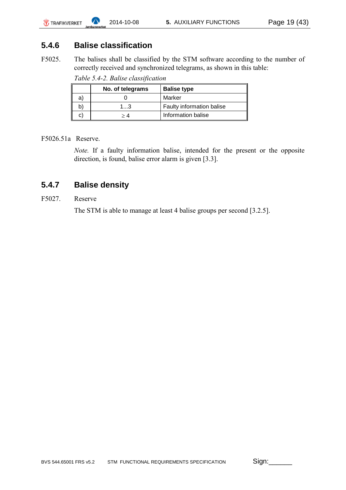## <span id="page-18-0"></span>**5.4.6 Balise classification**

F5025. The balises shall be classified by the STM software according to the number of correctly received and synchronized telegrams, as shown in this table:

*Table 5.4-2. Balise classification*

|    | No. of telegrams | <b>Balise type</b>        |
|----|------------------|---------------------------|
| a) |                  | Marker                    |
|    | 13               | Faulty information balise |
|    | > 4              | Information balise        |

F5026.51a Reserve.

*Note.* If a faulty information balise, intended for the present or the opposite direction, is found, balise error alarm is given [3.3].

# <span id="page-18-1"></span>**5.4.7 Balise density**

#### F5027. Reserve

The STM is able to manage at least 4 balise groups per second [3.2.5].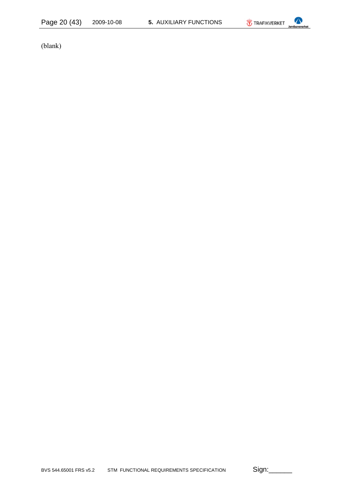$\bf \Phi$ 

(blank)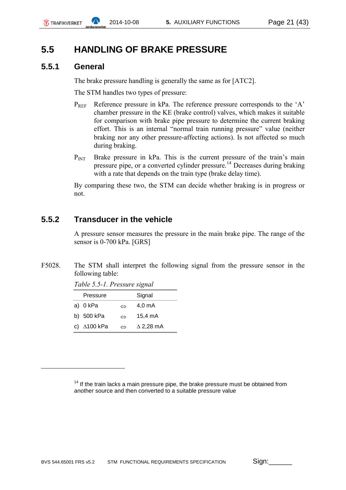$\overline{a}$ 

# <span id="page-20-0"></span>**5.5 HANDLING OF BRAKE PRESSURE**

#### <span id="page-20-1"></span>**5.5.1 General**

The brake pressure handling is generally the same as for [ATC2].

The STM handles two types of pressure:

- P<sub>REF</sub> Reference pressure in kPa. The reference pressure corresponds to the 'A' chamber pressure in the KE (brake control) valves, which makes it suitable for comparison with brake pipe pressure to determine the current braking effort. This is an internal "normal train running pressure" value (neither braking nor any other pressure-affecting actions). Is not affected so much during braking.
- $P_{INT}$  Brake pressure in kPa. This is the current pressure of the train's main pressure pipe, or a converted cylinder pressure.<sup>14</sup> Decreases during braking with a rate that depends on the train type (brake delay time).

By comparing these two, the STM can decide whether braking is in progress or not.

#### <span id="page-20-2"></span>**5.5.2 Transducer in the vehicle**

A pressure sensor measures the pressure in the main brake pipe. The range of the sensor is 0-700 kPa. [GRS]

F5028. The STM shall interpret the following signal from the pressure sensor in the following table:

| Tuble J.J-1. I ressure signal |              |                   |                  |
|-------------------------------|--------------|-------------------|------------------|
|                               | Pressure     |                   | Signal           |
|                               | a) 0 kPa     | $\Rightarrow$     | 4,0 mA           |
|                               | b) 500 kPa   | $\Leftrightarrow$ | 15,4 mA          |
|                               | c)  ∆100 kPa | $\Leftrightarrow$ | $\Delta$ 2,28 mA |

*Table 5.5-1. Pressure signal*

 $14$  If the train lacks a main pressure pipe, the brake pressure must be obtained from another source and then converted to a suitable pressure value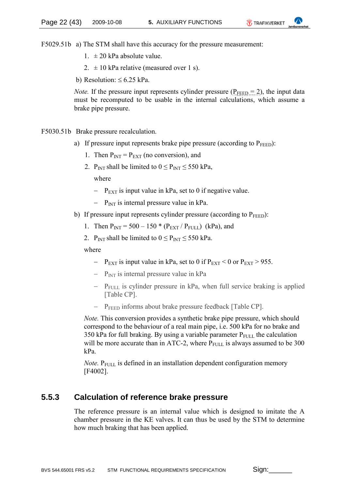F5029.51b a) The STM shall have this accuracy for the pressure measurement:

- 1.  $\pm 20$  kPa absolute value.
- 2.  $\pm$  10 kPa relative (measured over 1 s).

b) Resolution:  $\leq 6.25$  kPa.

*Note.* If the pressure input represents cylinder pressure ( $P_{\text{FEED}} = 2$ ), the input data must be recomputed to be usable in the internal calculations, which assume a brake pipe pressure.

F5030.51b Brake pressure recalculation.

- a) If pressure input represents brake pipe pressure (according to  $P_{\text{FEED}}$ ):
	- 1. Then  $P_{INT} = P_{EXT}$  (no conversion), and
	- 2.  $P_{INT}$  shall be limited to  $0 \le P_{INT} \le 550$  kPa, where
		- $-P_{EXT}$  is input value in kPa, set to 0 if negative value.
		- $-P_{INT}$  is internal pressure value in kPa.
- b) If pressure input represents cylinder pressure (according to  $P_{\text{FEED}}$ ):
	- 1. Then  $P_{INT} = 500 150 * (P_{EXT}/P_{FULL})$  (kPa), and
	- 2. P<sub>INT</sub> shall be limited to  $0 \le P_{INT} \le 550$  kPa.

where

- $P_{\text{EXT}}$  is input value in kPa, set to 0 if  $P_{\text{EXT}}$  < 0 or  $P_{\text{EXT}}$  > 955.
- $-P_{\text{INT}}$  is internal pressure value in kPa
- $-P_{FULL}$  is cylinder pressure in kPa, when full service braking is applied [Table CP].
- $-P_{\text{FEED}}$  informs about brake pressure feedback [Table CP].

*Note.* This conversion provides a synthetic brake pipe pressure, which should correspond to the behaviour of a real main pipe, i.e. 500 kPa for no brake and 350 kPa for full braking. By using a variable parameter  $P_{\text{FULL}}$  the calculation will be more accurate than in ATC-2, where  $P_{\text{FULL}}$  is always assumed to be 300 kPa.

*Note.*  $P_{\text{FULL}}$  is defined in an installation dependent configuration memory [F4002].

#### <span id="page-21-0"></span>**5.5.3 Calculation of reference brake pressure**

The reference pressure is an internal value which is designed to imitate the A chamber pressure in the KE valves. It can thus be used by the STM to determine how much braking that has been applied.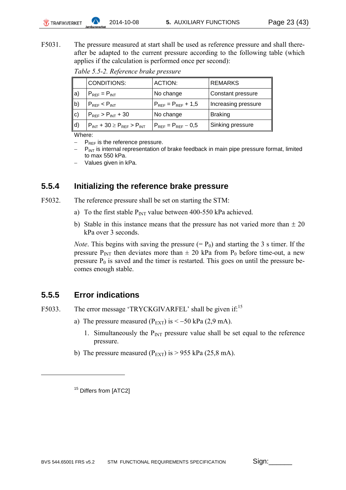#### **TE** TRAFIKVERKET

F5031. The pressure measured at start shall be used as reference pressure and shall thereafter be adapted to the current pressure according to the following table (which applies if the calculation is performed once per second):

| <b>CONDITIONS:</b>                            | ACTION:                   | <b>REMARKS</b>      |
|-----------------------------------------------|---------------------------|---------------------|
| $P_{REF} = P_{INT}$                           | No change                 | Constant pressure   |
| $P_{REF}$ < $P_{INT}$                         | $P_{REF} = P_{REF} + 1.5$ | Increasing pressure |
| $P_{REF}$ > $P_{INT}$ + 30                    | No change                 | <b>Braking</b>      |
| $P_{INT}$ + 30 $\geq$ $P_{REF}$ $>$ $P_{INT}$ | $P_{REF} = P_{REF} - 0.5$ | Sinking pressure    |
|                                               |                           |                     |

*Table 5.5-2. Reference brake pressure*

Where:

 $P_{REF}$  is the reference pressure.

- $P_{INT}$  is internal representation of brake feedback in main pipe pressure format, limited to max 550 kPa.
- Values given in kPa.

### <span id="page-22-0"></span>**5.5.4 Initializing the reference brake pressure**

F5032. The reference pressure shall be set on starting the STM:

- a) To the first stable  $P_{INT}$  value between 400-550 kPa achieved.
- b) Stable in this instance means that the pressure has not varied more than  $\pm 20$ kPa over 3 seconds.

*Note*. This begins with saving the pressure  $(= P_0)$  and starting the 3 s timer. If the pressure P<sub>INT</sub> then deviates more than  $\pm 20$  kPa from P<sub>0</sub> before time-out, a new pressure  $P_0$  is saved and the timer is restarted. This goes on until the pressure becomes enough stable.

### <span id="page-22-1"></span>**5.5.5 Error indications**

F5033. The error message 'TRYCKGIVARFEL' shall be given if:<sup>15</sup>

- a) The pressure measured ( $P_{\text{EXT}}$ ) is  $\leq -50$  kPa (2,9 mA).
	- 1. Simultaneously the  $P_{INT}$  pressure value shall be set equal to the reference pressure.
- b) The pressure measured ( $P_{\text{EXT}}$ ) is > 955 kPa (25,8 mA).

 $\overline{a}$ 

<sup>&</sup>lt;sup>15</sup> Differs from [ATC2]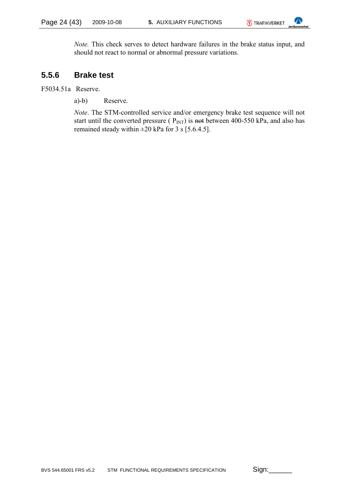$\bf\sigma$ 

*Note.* This check serves to detect hardware failures in the brake status input, and should not react to normal or abnormal pressure variations.

### <span id="page-23-0"></span>**5.5.6 Brake test**

F5034.51a Reserve.

a)-b) Reserve.

*Note*. The STM-controlled service and/or emergency brake test sequence will not start until the converted pressure ( $P_{INT}$ ) is not between 400-550 kPa, and also has remained steady within  $\pm 20$  kPa for 3 s [5.6.4.5].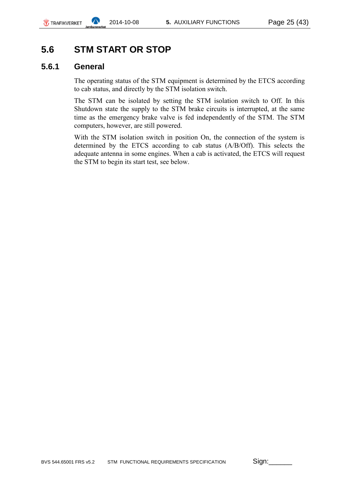# <span id="page-24-0"></span>**5.6 STM START OR STOP**

#### <span id="page-24-1"></span>**5.6.1 General**

The operating status of the STM equipment is determined by the ETCS according to cab status, and directly by the STM isolation switch.

The STM can be isolated by setting the STM isolation switch to Off. In this Shutdown state the supply to the STM brake circuits is interrupted, at the same time as the emergency brake valve is fed independently of the STM. The STM computers, however, are still powered.

With the STM isolation switch in position On, the connection of the system is determined by the ETCS according to cab status (A/B/Off). This selects the adequate antenna in some engines. When a cab is activated, the ETCS will request the STM to begin its start test, see below.

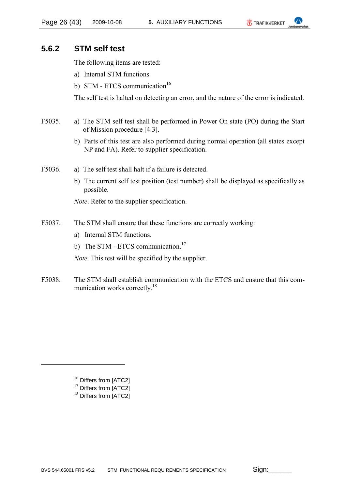**TRAFIKVERKET** 

#### <span id="page-25-0"></span>**5.6.2 STM self test**

The following items are tested:

- a) Internal STM functions
- b) STM ETCS communication<sup>16</sup>

The self test is halted on detecting an error, and the nature of the error is indicated.

- F5035. a) The STM self test shall be performed in Power On state (PO) during the Start of Mission procedure [4.3].
	- b) Parts of this test are also performed during normal operation (all states except NP and FA). Refer to supplier specification.
- F5036. a) The self test shall halt if a failure is detected.
	- b) The current self test position (test number) shall be displayed as specifically as possible.

*Note*. Refer to the supplier specification.

- F5037. The STM shall ensure that these functions are correctly working:
	- a) Internal STM functions.
	- b) The STM ETCS communication.<sup>17</sup>

*Note.* This test will be specified by the supplier.

F5038. The STM shall establish communication with the ETCS and ensure that this communication works correctly.<sup>18</sup>

 $\overline{a}$ 

- <sup>17</sup> Differs from [ATC2]
- <sup>18</sup> Differs from [ATC2]

<sup>&</sup>lt;sup>16</sup> Differs from [ATC2]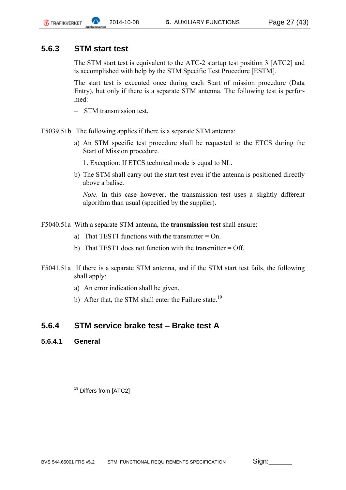#### <span id="page-26-0"></span>**5.6.3 STM start test**

The STM start test is equivalent to the ATC-2 startup test position 3 [ATC2] and is accomplished with help by the STM Specific Test Procedure [ESTM].

The start test is executed once during each Start of mission procedure (Data Entry), but only if there is a separate STM antenna. The following test is performed:

– STM transmission test.

F5039.51b The following applies if there is a separate STM antenna:

a) An STM specific test procedure shall be requested to the ETCS during the Start of Mission procedure.

1. Exception: If ETCS technical mode is equal to NL.

b) The STM shall carry out the start test even if the antenna is positioned directly above a balise.

*Note.* In this case however, the transmission test uses a slightly different algorithm than usual (specified by the supplier).

- F5040.51a With a separate STM antenna, the **transmission test** shall ensure:
	- a) That TEST1 functions with the transmitter  $=$  On.
	- b) That TEST1 does not function with the transmitter = Off.
- F5041.51a If there is a separate STM antenna, and if the STM start test fails, the following shall apply:
	- a) An error indication shall be given.
	- b) After that, the STM shall enter the Failure state.<sup>19</sup>

#### <span id="page-26-1"></span>**5.6.4 STM service brake test – Brake test A**

**5.6.4.1 General**

 $\overline{a}$ 

<sup>19</sup> Differs from [ATC2]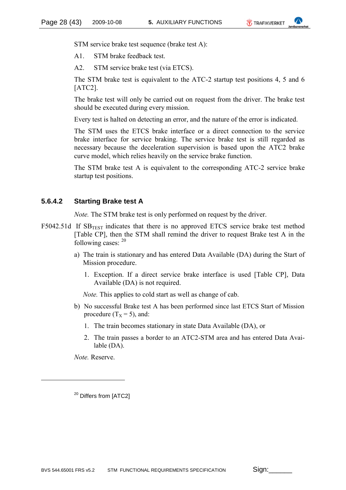STM service brake test sequence (brake test A):

- A1. STM brake feedback test.
- A2. STM service brake test (via ETCS).

The STM brake test is equivalent to the ATC-2 startup test positions 4, 5 and 6 [ATC2].

The brake test will only be carried out on request from the driver. The brake test should be executed during every mission.

Every test is halted on detecting an error, and the nature of the error is indicated.

The STM uses the ETCS brake interface or a direct connection to the service brake interface for service braking. The service brake test is still regarded as necessary because the deceleration supervision is based upon the ATC2 brake curve model, which relies heavily on the service brake function.

The STM brake test A is equivalent to the corresponding ATC-2 service brake startup test positions.

#### **5.6.4.2 Starting Brake test A**

*Note.* The STM brake test is only performed on request by the driver.

- $F5042.51d$  If  $SB<sub>TEST</sub>$  indicates that there is no approved ETCS service brake test method [Table CP], then the STM shall remind the driver to request Brake test A in the following cases: <sup>20</sup>
	- a) The train is stationary and has entered Data Available (DA) during the Start of Mission procedure.
		- 1. Exception. If a direct service brake interface is used [Table CP], Data Available (DA) is not required.

*Note.* This applies to cold start as well as change of cab.

- b) No successful Brake test A has been performed since last ETCS Start of Mission procedure  $(T_X = 5)$ , and:
	- 1. The train becomes stationary in state Data Available (DA), or
	- 2. The train passes a border to an ATC2-STM area and has entered Data Available (DA).

*Note.* Reserve.

<sup>20</sup> Differs from [ATC2]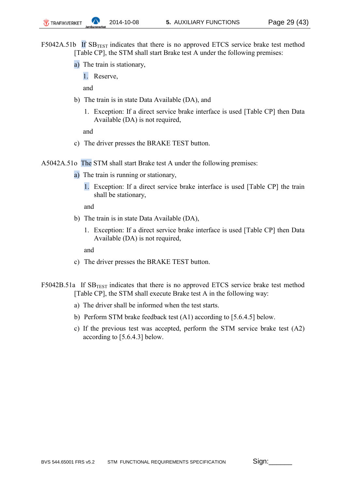F5042A.51b If  $SB$ <sub>TEST</sub> indicates that there is no approved ETCS service brake test method [Table CP], the STM shall start Brake test A under the following premises:

- a) The train is stationary,
	- 1. Reserve,

and

- b) The train is in state Data Available (DA), and
	- 1. Exception: If a direct service brake interface is used [Table CP] then Data Available (DA) is not required,

and

c) The driver presses the BRAKE TEST button.

A5042A.51o The STM shall start Brake test A under the following premises:

- a) The train is running or stationary,
	- 1. Exception: If a direct service brake interface is used [Table CP] the train shall be stationary,

and

- b) The train is in state Data Available (DA),
	- 1. Exception: If a direct service brake interface is used [Table CP] then Data Available (DA) is not required,

and

- c) The driver presses the BRAKE TEST button.
- F5042B.51a If  $SB_{TEST}$  indicates that there is no approved ETCS service brake test method [Table CP], the STM shall execute Brake test A in the following way:
	- a) The driver shall be informed when the test starts.
	- b) Perform STM brake feedback test (A1) according to [5.6.4.5] below.
	- c) If the previous test was accepted, perform the STM service brake test (A2) according to [5.6.4.3] below.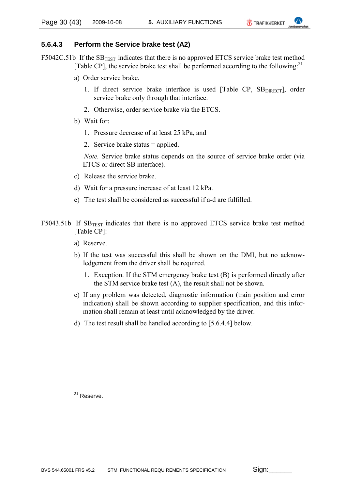#### **5.6.4.3 Perform the Service brake test (A2)**

F5042C.51b If the  $SB_{TEST}$  indicates that there is no approved ETCS service brake test method [Table CP], the service brake test shall be performed according to the following: $^{21}$ 

- a) Order service brake.
	- 1. If direct service brake interface is used  $[Table CP, SB<sub>DIRECT</sub>]$ , order service brake only through that interface.
	- 2. Otherwise, order service brake via the ETCS.
- b) Wait for:
	- 1. Pressure decrease of at least 25 kPa, and
	- 2. Service brake status = applied.

*Note.* Service brake status depends on the source of service brake order (via ETCS or direct SB interface)*.*

- c) Release the service brake.
- d) Wait for a pressure increase of at least 12 kPa.
- e) The test shall be considered as successful if a-d are fulfilled.
- $F5043.51b$  If  $SB<sub>TEST</sub>$  indicates that there is no approved ETCS service brake test method [Table CP]:
	- a) Reserve.
	- b) If the test was successful this shall be shown on the DMI, but no acknowledgement from the driver shall be required.
		- 1. Exception. If the STM emergency brake test (B) is performed directly after the STM service brake test (A), the result shall not be shown.
	- c) If any problem was detected, diagnostic information (train position and error indication) shall be shown according to supplier specification, and this information shall remain at least until acknowledged by the driver.
	- d) The test result shall be handled according to [5.6.4.4] below.

<sup>21</sup> Reserve.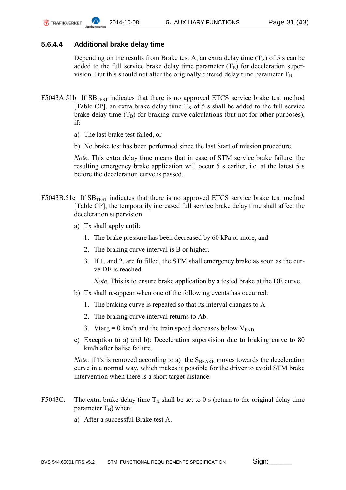#### **5.6.4.4 Additional brake delay time**

Depending on the results from Brake test A, an extra delay time  $(T_X)$  of 5 s can be added to the full service brake delay time parameter  $(T_B)$  for deceleration supervision. But this should not alter the originally entered delay time parameter  $T_B$ .

- F5043A.51b If  $SB$ <sub>TEST</sub> indicates that there is no approved ETCS service brake test method [Table CP], an extra brake delay time  $T_X$  of 5 s shall be added to the full service brake delay time  $(T_B)$  for braking curve calculations (but not for other purposes), if:
	- a) The last brake test failed, or
	- b) No brake test has been performed since the last Start of mission procedure.

*Note*. This extra delay time means that in case of STM service brake failure, the resulting emergency brake application will occur 5 s earlier, i.e. at the latest 5 s before the deceleration curve is passed.

- F5043B.51c If  $SB$ <sub>TEST</sub> indicates that there is no approved ETCS service brake test method [Table CP], the temporarily increased full service brake delay time shall affect the deceleration supervision.
	- a) Tx shall apply until:
		- 1. The brake pressure has been decreased by 60 kPa or more, and
		- 2. The braking curve interval is B or higher.
		- 3. If 1. and 2. are fulfilled, the STM shall emergency brake as soon as the curve DE is reached.

*Note.* This is to ensure brake application by a tested brake at the DE curve.

- b) Tx shall re-appear when one of the following events has occurred:
	- 1. The braking curve is repeated so that its interval changes to A.
	- 2. The braking curve interval returns to Ab.
	- 3. Vtarg = 0 km/h and the train speed decreases below  $V_{END}$ .
- c) Exception to a) and b): Deceleration supervision due to braking curve to 80 km/h after balise failure.

*Note*. If Tx is removed according to a) the S<sub>BRAKE</sub> moves towards the deceleration curve in a normal way, which makes it possible for the driver to avoid STM brake intervention when there is a short target distance.

- F5043C. The extra brake delay time  $T_X$  shall be set to 0 s (return to the original delay time parameter  $T_B$ ) when:
	- a) After a successful Brake test A.

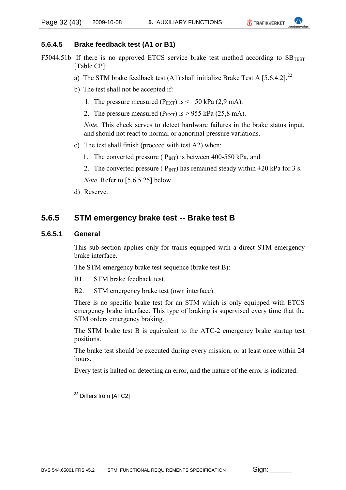- F5044.51b If there is no approved ETCS service brake test method according to  $SB_{TEST}$ [Table CP]:
	- a) The STM brake feedback test (A1) shall initialize Brake Test A  $[5.6.4.2]$ <sup>22</sup>
	- b) The test shall not be accepted if:
		- 1. The pressure measured ( $P_{\text{EXT}}$ ) is  $\leq -50$  kPa (2,9 mA).
		- 2. The pressure measured ( $P_{\text{EXT}}$ ) is > 955 kPa (25,8 mA).

*Note.* This check serves to detect hardware failures in the brake status input, and should not react to normal or abnormal pressure variations.

- c) The test shall finish (proceed with test A2) when:
	- 1. The converted pressure ( $P_{\text{INT}}$ ) is between 400-550 kPa, and
	- 2. The converted pressure ( $P_{INT}$ ) has remained steady within  $\pm 20$  kPa for 3 s. *Note*. Refer to [5.6.5.25] below.
- d) Reserve.

### <span id="page-31-0"></span>**5.6.5 STM emergency brake test -- Brake test B**

#### **5.6.5.1 General**

This sub-section applies only for trains equipped with a direct STM emergency brake interface.

The STM emergency brake test sequence (brake test B):

- B1. STM brake feedback test.
- B2. STM emergency brake test (own interface).

There is no specific brake test for an STM which is only equipped with ETCS emergency brake interface. This type of braking is supervised every time that the STM orders emergency braking.

The STM brake test B is equivalent to the ATC-2 emergency brake startup test positions.

The brake test should be executed during every mission, or at least once within 24 hours.

Every test is halted on detecting an error, and the nature of the error is indicated.

<sup>22</sup> Differs from [ATC2]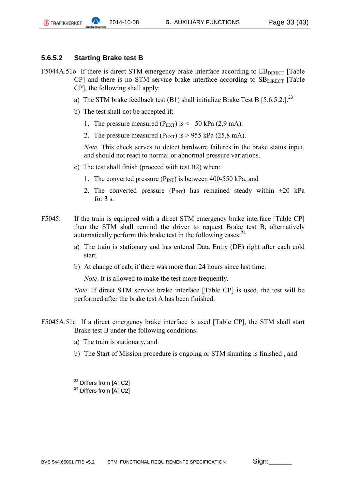# **5.6.5.2 Starting Brake test B**

- F5044A.51o If there is direct STM emergency brake interface according to  $EB_{\text{DIRECT}}$  [Table  $CP$ ] and there is no STM service brake interface according to  $SB<sub>DIRECT</sub>$  [Table CP], the following shall apply:
	- a) The STM brake feedback test (B1) shall initialize Brake Test B [5.6.5.2.].<sup>23</sup>
	- b) The test shall not be accepted if:
		- 1. The pressure measured  $(P_{EXT})$  is  $\leq -50$  kPa (2,9 mA).
		- 2. The pressure measured ( $P_{\text{EXT}}$ ) is > 955 kPa (25,8 mA).

*Note.* This check serves to detect hardware failures in the brake status input, and should not react to normal or abnormal pressure variations.

- c) The test shall finish (proceed with test B2) when:
	- 1. The converted pressure  $(P_{\text{INT}})$  is between 400-550 kPa, and
	- 2. The converted pressure ( $P_{INT}$ ) has remained steady within  $\pm 20$  kPa for 3 s.
- F5045. If the train is equipped with a direct STM emergency brake interface [Table CP] then the STM shall remind the driver to request Brake test B, alternatively automatically perform this brake test in the following cases: $^{24}$ 
	- a) The train is stationary and has entered Data Entry (DE) right after each cold start.
	- b) At change of cab, if there was more than 24 hours since last time.

*Note*. It is allowed to make the test more frequently.

*Note*. If direct STM service brake interface [Table CP] is used, the test will be performed after the brake test A has been finished.

- F5045A.51c If a direct emergency brake interface is used [Table CP], the STM shall start Brake test B under the following conditions:
	- a) The train is stationary, and
	- b) The Start of Mission procedure is ongoing or STM shunting is finished , and

 $\overline{a}$ 

<sup>&</sup>lt;sup>23</sup> Differs from [ATC2]

<sup>&</sup>lt;sup>24</sup> Differs from [ATC2]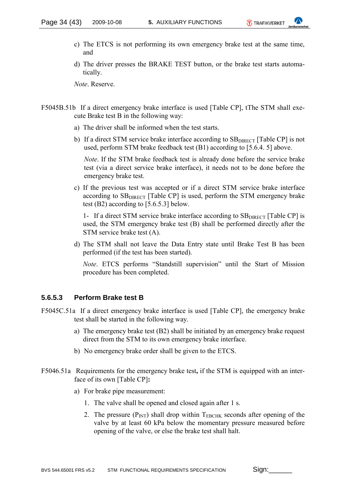∽

- c) The ETCS is not performing its own emergency brake test at the same time, and
- d) The driver presses the BRAKE TEST button, or the brake test starts automatically.

*Note*. Reserve.

- F5045B.51b If a direct emergency brake interface is used [Table CP], tThe STM shall execute Brake test B in the following way:
	- a) The driver shall be informed when the test starts.
	- b) If a direct STM service brake interface according to  $SB_{DIRECT}$  [Table CP] is not used, perform STM brake feedback test (B1) according to [5.6.4. 5] above.

*Note*. If the STM brake feedback test is already done before the service brake test (via a direct service brake interface), it needs not to be done before the emergency brake test.

c) If the previous test was accepted or if a direct STM service brake interface according to  $SB<sub>DIRECT</sub>$  [Table CP] is used, perform the STM emergency brake test (B2) according to [5.6.5.3] below.

1- If a direct STM service brake interface according to  $SB<sub>DIRECT</sub>$  [Table CP] is used, the STM emergency brake test (B) shall be performed directly after the STM service brake test (A).

d) The STM shall not leave the Data Entry state until Brake Test B has been performed (if the test has been started).

*Note*. ETCS performs "Standstill supervision" until the Start of Mission procedure has been completed.

#### **5.6.5.3 Perform Brake test B**

- F5045C.51a If a direct emergency brake interface is used [Table CP], the emergency brake test shall be started in the following way.
	- a) The emergency brake test (B2) shall be initiated by an emergency brake request direct from the STM to its own emergency brake interface.
	- b) No emergency brake order shall be given to the ETCS.
- F5046.51a Requirements for the emergency brake test**,** if the STM is equipped with an interface of its own [Table CP]**:**
	- a) For brake pipe measurement:
		- 1. The valve shall be opened and closed again after 1 s.
		- 2. The pressure ( $P_{\text{INT}}$ ) shall drop within  $T_{\text{EBCHK}}$  seconds after opening of the valve by at least 60 kPa below the momentary pressure measured before opening of the valve, or else the brake test shall halt.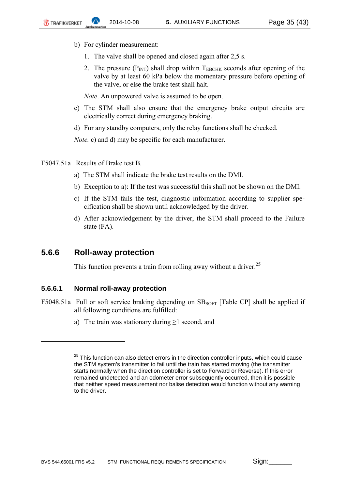- b) For cylinder measurement:
	- 1. The valve shall be opened and closed again after 2,5 s.
	- 2. The pressure ( $P_{\text{INT}}$ ) shall drop within  $T_{\text{EBCHK}}$  seconds after opening of the valve by at least 60 kPa below the momentary pressure before opening of the valve, or else the brake test shall halt.

*Note*. An unpowered valve is assumed to be open.

- c) The STM shall also ensure that the emergency brake output circuits are electrically correct during emergency braking.
- d) For any standby computers, only the relay functions shall be checked.

*Note.* c) and d) may be specific for each manufacturer.

- F5047.51a Results of Brake test B.
	- a) The STM shall indicate the brake test results on the DMI.
	- b) Exception to a): If the test was successful this shall not be shown on the DMI.
	- c) If the STM fails the test, diagnostic information according to supplier specification shall be shown until acknowledged by the driver.
	- d) After acknowledgement by the driver, the STM shall proceed to the Failure state (FA).

#### <span id="page-34-0"></span>**5.6.6 Roll-away protection**

This function prevents a train from rolling away without a driver.**<sup>25</sup>**

#### **5.6.6.1 Normal roll-away protection**

 $\overline{a}$ 

- F5048.51a Full or soft service braking depending on  $SB<sub>SOFF</sub>$  [Table CP] shall be applied if all following conditions are fulfilled:
	- a) The train was stationary during  $\geq 1$  second, and

 $25$  This function can also detect errors in the direction controller inputs, which could cause the STM system's transmitter to fail until the train has started moving (the transmitter starts normally when the direction controller is set to Forward or Reverse). If this error remained undetected and an odometer error subsequently occurred, then it is possible that neither speed measurement nor balise detection would function without any warning to the driver.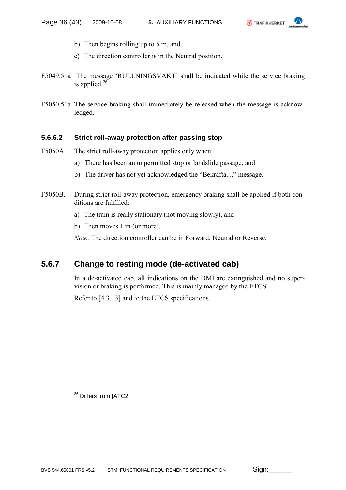- b) Then begins rolling up to 5 m, and
- c) The direction controller is in the Neutral position.
- F5049.51a The message 'RULLNINGSVAKT' shall be indicated while the service braking is applied. $26$
- F5050.51a The service braking shall immediately be released when the message is acknowledged.

#### **5.6.6.2 Strict roll-away protection after passing stop**

- F5050A. The strict roll-away protection applies only when:
	- a) There has been an unpermitted stop or landslide passage, and
	- b) The driver has not yet acknowledged the "Bekräfta...." message.
- F5050B. During strict roll-away protection, emergency braking shall be applied if both conditions are fulfilled:
	- a) The train is really stationary (not moving slowly), and
	- b) Then moves 1 m (or more).

*Note*. The direction controller can be in Forward, Neutral or Reverse.

### <span id="page-35-0"></span>**5.6.7 Change to resting mode (de-activated cab)**

In a de-activated cab, all indications on the DMI are extinguished and no supervision or braking is performed. This is mainly managed by the ETCS.

Refer to [4.3.13] and to the ETCS specifications.

<sup>26</sup> Differs from [ATC2]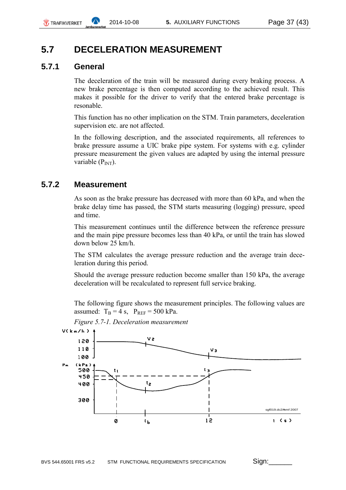# <span id="page-36-0"></span>**5.7 DECELERATION MEASUREMENT**

#### <span id="page-36-1"></span>**5.7.1 General**

The deceleration of the train will be measured during every braking process. A new brake percentage is then computed according to the achieved result. This makes it possible for the driver to verify that the entered brake percentage is resonable.

This function has no other implication on the STM. Train parameters, deceleration supervision etc. are not affected.

In the following description, and the associated requirements, all references to brake pressure assume a UIC brake pipe system. For systems with e.g. cylinder pressure measurement the given values are adapted by using the internal pressure variable  $(P_{INT})$ .

#### <span id="page-36-2"></span>**5.7.2 Measurement**

As soon as the brake pressure has decreased with more than 60 kPa, and when the brake delay time has passed, the STM starts measuring (logging) pressure, speed and time.

This measurement continues until the difference between the reference pressure and the main pipe pressure becomes less than 40 kPa, or until the train has slowed down below 25 km/h.

The STM calculates the average pressure reduction and the average train deceleration during this period.

Should the average pressure reduction become smaller than 150 kPa, the average deceleration will be recalculated to represent full service braking.

The following figure shows the measurement principles. The following values are assumed:  $T_B = 4$  s,  $P_{REF} = 500$  kPa.



*Figure 5.7-1. Deceleration measurement*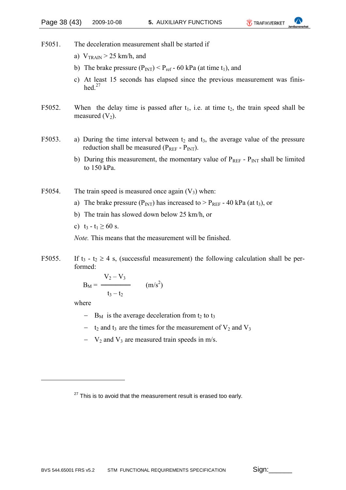- F5051. The deceleration measurement shall be started if
	- a)  $V_{\text{TRAIN}} > 25$  km/h, and
	- b) The brake pressure  $(P_{INT}) < P_{ref}$  60 kPa (at time t<sub>1</sub>), and
	- c) At least 15 seconds has elapsed since the previous measurement was finished. $27$
- F5052. When the delay time is passed after  $t_1$ , i.e. at time  $t_2$ , the train speed shall be measured  $(V_2)$ .
- F5053. a) During the time interval between  $t_2$  and  $t_3$ , the average value of the pressure reduction shall be measured ( $P_{REF}$  -  $P_{INT}$ ).
	- b) During this measurement, the momentary value of  $P_{REF}$   $P_{INT}$  shall be limited to 150 kPa.
- F5054. The train speed is measured once again  $(V_3)$  when:
	- a) The brake pressure ( $P_{INT}$ ) has increased to  $> P_{REF}$  40 kPa (at t<sub>3</sub>), or
	- b) The train has slowed down below 25 km/h, or
	- c)  $t_3 t_1 \ge 60$  s.

*Note.* This means that the measurement will be finished.

F5055. If t<sub>3</sub> - t<sub>2</sub>  $\geq$  4 s, (successful measurement) the following calculation shall be performed:

$$
B_M = \frac{V_2 - V_3}{t_3 - t_2} \qquad (m/s^2)
$$

where

- $-$  B<sub>M</sub> is the average deceleration from t<sub>2</sub> to t<sub>3</sub>
- $t_2$  and  $t_3$  are the times for the measurement of  $V_2$  and  $V_3$
- $-$  V<sub>2</sub> and V<sub>3</sub> are measured train speeds in m/s.

 $27$  This is to avoid that the measurement result is erased too early.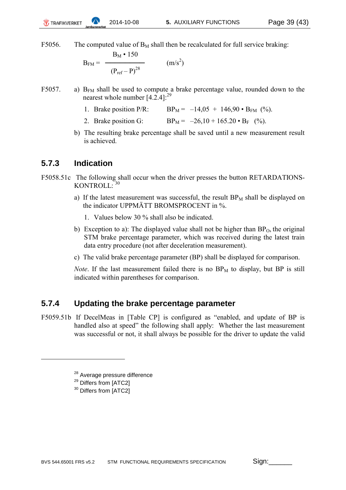F5056. The computed value of  $B_M$  shall then be recalculated for full service braking:

$$
B_{FM} = \frac{B_M \cdot 150}{(P_{ref} - P)^{28}}
$$
 (m/s<sup>2</sup>)

- F5057. a)  $B_{FM}$  shall be used to compute a brake percentage value, rounded down to the nearest whole number  $[4.2.4]$ :<sup>29</sup>
	- 1. Brake position P/R:  $BP_M = -14,05 + 146,90 \cdot B_{FM}$  (%).
	- 2. Brake position G:  $BP_M = -26,10 + 165.20 \cdot B_F$  (%).
	- b) The resulting brake percentage shall be saved until a new measurement result is achieved.

#### <span id="page-38-0"></span>**5.7.3 Indication**

- F5058.51c The following shall occur when the driver presses the button RETARDATIONS-KONTROLL: <sup>30</sup>
	- a) If the latest measurement was successful, the result  $BP<sub>M</sub>$  shall be displayed on the indicator UPPMÄTT BROMSPROCENT in %.
		- 1. Values below 30 % shall also be indicated.
	- b) Exception to a): The displayed value shall not be higher than  $BP<sub>O</sub>$ , the original STM brake percentage parameter, which was received during the latest train data entry procedure (not after deceleration measurement).
	- c) The valid brake percentage parameter (BP) shall be displayed for comparison.

*Note*. If the last measurement failed there is no  $BP<sub>M</sub>$  to display, but  $BP$  is still indicated within parentheses for comparison.

# <span id="page-38-1"></span>**5.7.4 Updating the brake percentage parameter**

F5059.51b If DecelMeas in [Table CP] is configured as "enabled, and update of BP is handled also at speed" the following shall apply: Whether the last measurement was successful or not, it shall always be possible for the driver to update the valid

 $\overline{a}$ 

<sup>&</sup>lt;sup>28</sup> Average pressure difference

<sup>&</sup>lt;sup>29</sup> Differs from [ATC2]

<sup>&</sup>lt;sup>30</sup> Differs from [ATC2]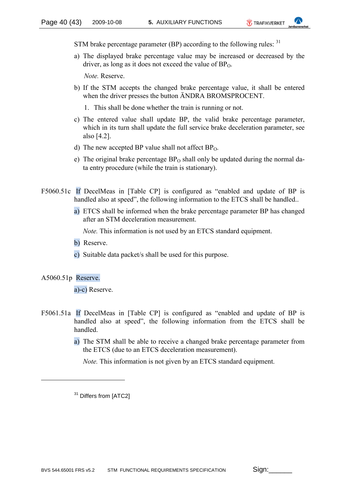∽

STM brake percentage parameter (BP) according to the following rules:  $31$ 

a) The displayed brake percentage value may be increased or decreased by the driver, as long as it does not exceed the value of  $BP_0$ .

*Note.* Reserve.

- b) If the STM accepts the changed brake percentage value, it shall be entered when the driver presses the button ÄNDRA BROMSPROCENT.
	- 1. This shall be done whether the train is running or not.
- c) The entered value shall update BP, the valid brake percentage parameter, which in its turn shall update the full service brake deceleration parameter, see also [4.2].
- d) The new accepted BP value shall not affect  $BP<sub>O</sub>$ .
- e) The original brake percentage  $BP<sub>O</sub>$  shall only be updated during the normal data entry procedure (while the train is stationary).
- F5060.51c If DecelMeas in [Table CP] is configured as "enabled and update of BP is handled also at speed", the following information to the ETCS shall be handled..
	- a) ETCS shall be informed when the brake percentage parameter BP has changed after an STM deceleration measurement.

*Note.* This information is not used by an ETCS standard equipment.

- b) Reserve.
- c) Suitable data packet/s shall be used for this purpose.

#### A5060.51p Reserve.

a)-c) Reserve.

- F5061.51a If DecelMeas in [Table CP] is configured as "enabled and update of BP is handled also at speed", the following information from the ETCS shall be handled.
	- a) The STM shall be able to receive a changed brake percentage parameter from the ETCS (due to an ETCS deceleration measurement).

*Note.* This information is not given by an ETCS standard equipment.

<sup>&</sup>lt;sup>31</sup> Differs from [ATC2]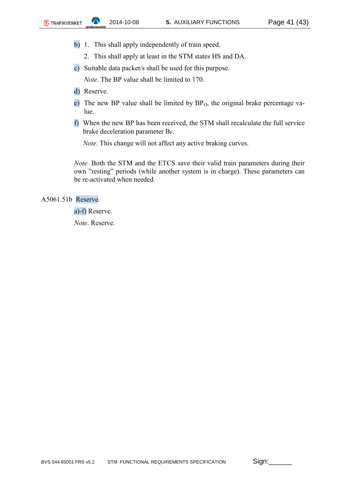- b) 1. This shall apply independently of train speed.
	- 2. This shall apply at least in the STM states HS and DA.
- c) Suitable data packet/s shall be used for this purpose.

*Note*. The BP value shall be limited to 170.

- d) Reserve.
- e) The new BP value shall be limited by  $BP<sub>O</sub>$ , the original brake percentage value.
- f) When the new BP has been received, the STM shall recalculate the full service brake deceleration parameter  $B_F$ .

*Note.* This change will not affect any active braking curves.

*Note.* Both the STM and the ETCS save their valid train parameters during their own "resting" periods (while another system is in charge). These parameters can be re-activated when needed*.*

A5061.51b Reserve.

a)-f) Reserve.

*Note*. Reserve.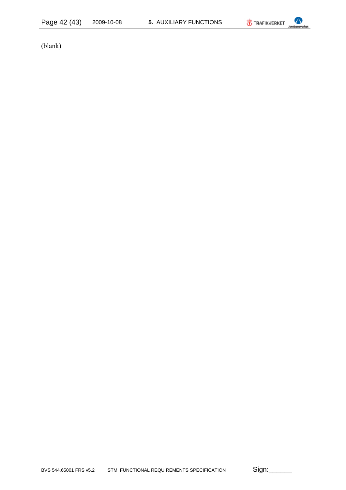$\boldsymbol{\sigma}$ 

(blank)